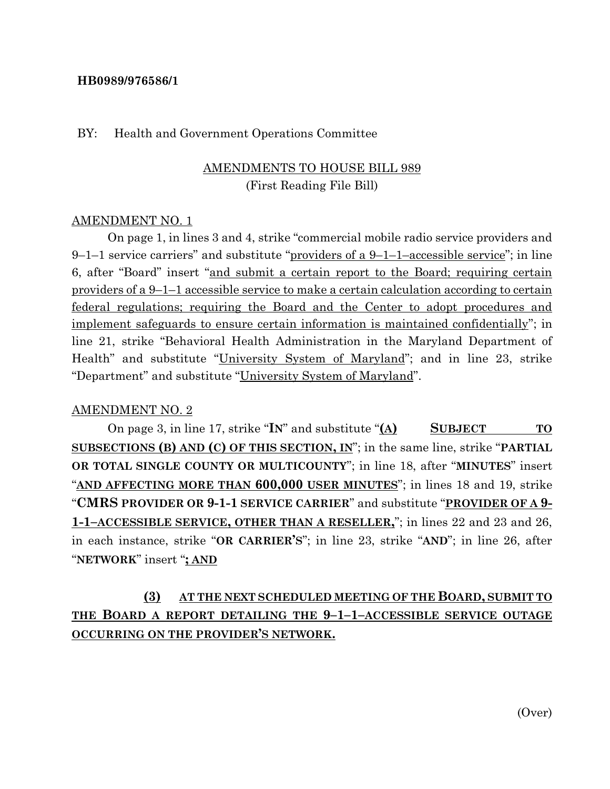#### **HB0989/976586/1**

#### BY: Health and Government Operations Committee

### AMENDMENTS TO HOUSE BILL 989 (First Reading File Bill)

#### AMENDMENT NO. 1

On page 1, in lines 3 and 4, strike "commercial mobile radio service providers and  $9-1-1$  service carriers" and substitute "providers of a  $9-1-1$ -accessible service"; in line 6, after "Board" insert "and submit a certain report to the Board; requiring certain providers of a 9–1–1 accessible service to make a certain calculation according to certain federal regulations; requiring the Board and the Center to adopt procedures and implement safeguards to ensure certain information is maintained confidentially"; in line 21, strike "Behavioral Health Administration in the Maryland Department of Health" and substitute "University System of Maryland"; and in line 23, strike "Department" and substitute "University System of Maryland".

#### AMENDMENT NO. 2

On page 3, in line 17, strike "**IN**" and substitute "**(A) SUBJECT TO SUBSECTIONS (B) AND (C) OF THIS SECTION, IN**"; in the same line, strike "**PARTIAL OR TOTAL SINGLE COUNTY OR MULTICOUNTY**"; in line 18, after "**MINUTES**" insert "**AND AFFECTING MORE THAN 600,000 USER MINUTES**"; in lines 18 and 19, strike "**CMRS PROVIDER OR 9-1-1 SERVICE CARRIER**" and substitute "**PROVIDER OF A 9- 1-1–ACCESSIBLE SERVICE, OTHER THAN A RESELLER,**"; in lines 22 and 23 and 26, in each instance, strike "**OR CARRIER'S**"; in line 23, strike "**AND**"; in line 26, after "**NETWORK**" insert "**; AND**

### **(3) AT THE NEXT SCHEDULED MEETING OF THE BOARD, SUBMIT TO THE BOARD A REPORT DETAILING THE 9–1–1–ACCESSIBLE SERVICE OUTAGE OCCURRING ON THE PROVIDER'S NETWORK.**

(Over)